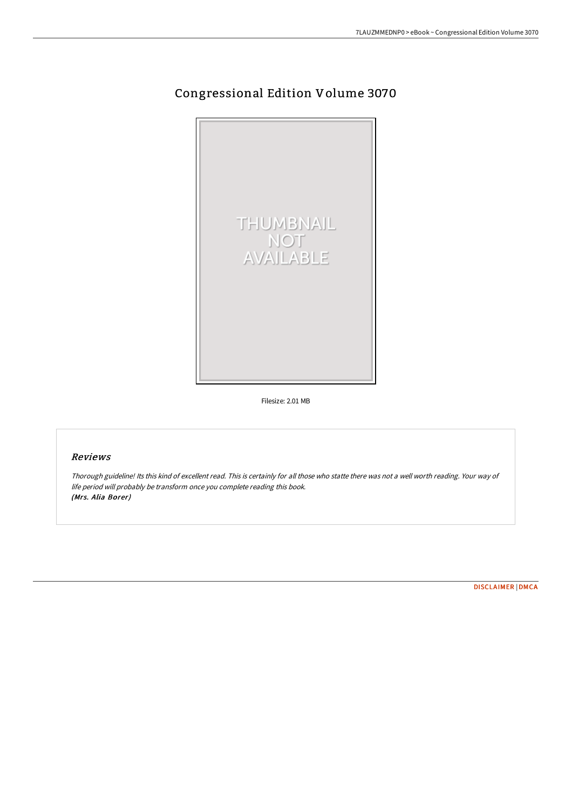## Congressional Edition Volume 3070



Filesize: 2.01 MB

## Reviews

Thorough guideline! Its this kind of excellent read. This is certainly for all those who statte there was not <sup>a</sup> well worth reading. Your way of life period will probably be transform once you complete reading this book. (Mrs. Alia Borer)

[DISCLAIMER](http://digilib.live/disclaimer.html) | [DMCA](http://digilib.live/dmca.html)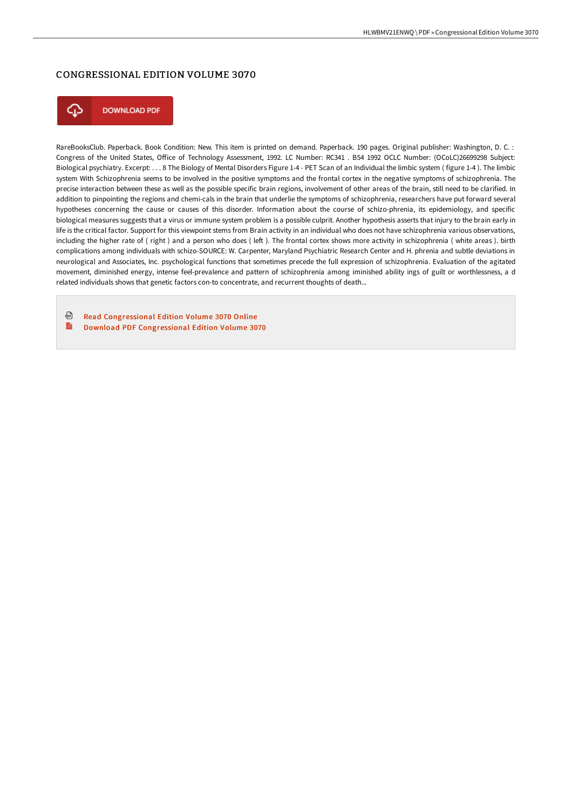## CONGRESSIONAL EDITION VOLUME 3070



**DOWNLOAD PDF** 

RareBooksClub. Paperback. Book Condition: New. This item is printed on demand. Paperback. 190 pages. Original publisher: Washington, D. C. : Congress of the United States, Office of Technology Assessment, 1992. LC Number: RC341 . B54 1992 OCLC Number: (OCoLC)26699298 Subject: Biological psychiatry. Excerpt: . . . 8 The Biology of Mental Disorders Figure 1-4 - PET Scan of an Individual the limbic system ( figure 1-4 ). The limbic system With Schizophrenia seems to be involved in the positive symptoms and the frontal cortex in the negative symptoms of schizophrenia. The precise interaction between these as well as the possible specific brain regions, involvement of other areas of the brain, still need to be clarified. In addition to pinpointing the regions and chemi-cals in the brain that underlie the symptoms of schizophrenia, researchers have put forward several hypotheses concerning the cause or causes of this disorder. Information about the course of schizo-phrenia, its epidemiology, and specific biological measures suggests that a virus or immune system problem is a possible culprit. Another hypothesis asserts that injury to the brain early in life is the critical factor. Support for this viewpoint stems from Brain activity in an individual who does not have schizophrenia various observations, including the higher rate of (right) and a person who does (left). The frontal cortex shows more activity in schizophrenia (white areas), birth complications among individuals with schizo-SOURCE: W. Carpenter, Maryland Psychiatric Research Center and H. phrenia and subtle deviations in neurological and Associates, Inc. psychological functions that sometimes precede the full expression of schizophrenia. Evaluation of the agitated movement, diminished energy, intense feel-prevalence and pattern of schizophrenia among iminished ability ings of guilt or worthlessness, a d related individuals shows that genetic factors con-to concentrate, and recurrent thoughts of death...

⊕ Read [Congressional](http://digilib.live/congressional-edition-volume-3070.html) Edition Volume 3070 Online  $\mathbf{m}$ Download PDF [Congressional](http://digilib.live/congressional-edition-volume-3070.html) Edition Volume 3070